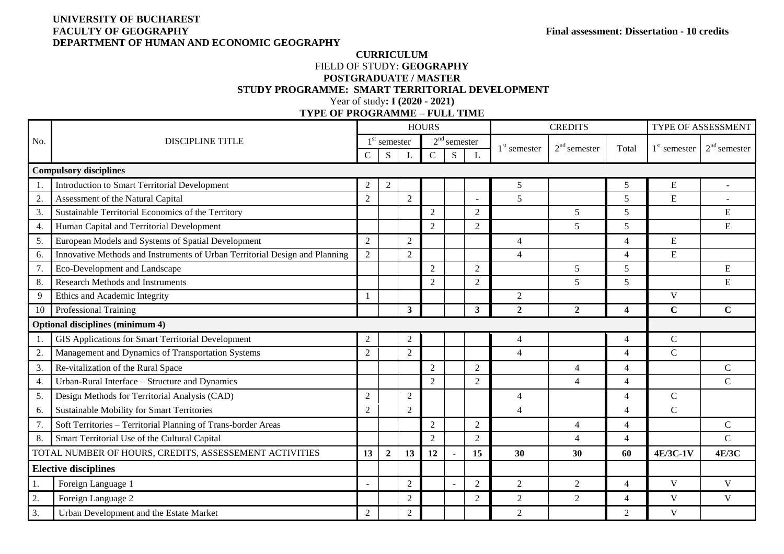# **UNIVERSITY OF BUCHAREST DEPARTMENT OF HUMAN AND ECONOMIC GEOGRAPHY**

#### **CURRICULUM**  FIELD OF STUDY: **GEOGRAPHY POSTGRADUATE / MASTER STUDY PROGRAMME: SMART TERRITORIAL DEVELOPMENT** Year of study**: I (2020 - 2021)**

**TYPE OF PROGRAMME – FULL TIME**

|                               |                                                                             |                  |                       |                | <b>HOURS</b>   |                |                |                | <b>CREDITS</b> | TYPE OF ASSESSMENT      |                |                |
|-------------------------------|-----------------------------------------------------------------------------|------------------|-----------------------|----------------|----------------|----------------|----------------|----------------|----------------|-------------------------|----------------|----------------|
| No.                           | <b>DISCIPLINE TITLE</b>                                                     |                  | $1^{\rm st}$ semester |                |                | $2nd$ semester |                | $1st$ semester | $2nd$ semester | Total                   | $1st$ semester | $2nd$ semester |
|                               |                                                                             | $\mathsf{C}$     | S                     |                | $\mathcal{C}$  | S              |                |                |                |                         |                |                |
| <b>Compulsory disciplines</b> |                                                                             |                  |                       |                |                |                |                |                |                |                         |                |                |
| 1.                            | <b>Introduction to Smart Territorial Development</b>                        | $\overline{2}$   | $\overline{2}$        |                |                |                |                | 5              |                | 5                       | ${\bf E}$      | $\blacksquare$ |
| 2.                            | Assessment of the Natural Capital                                           | $\overline{2}$   |                       | $\overline{2}$ |                |                |                | 5              |                | 5                       | ${\bf E}$      |                |
| 3.                            | Sustainable Territorial Economics of the Territory                          |                  |                       |                | 2              |                | $\overline{2}$ |                | 5              | 5                       |                | ${\bf E}$      |
| 4.                            | Human Capital and Territorial Development                                   |                  |                       |                | $\overline{2}$ |                | $\overline{2}$ |                | 5              | 5                       |                | ${\bf E}$      |
| 5.                            | European Models and Systems of Spatial Development                          | $\overline{2}$   |                       | $\overline{2}$ |                |                |                | $\overline{4}$ |                | $\overline{4}$          | ${\bf E}$      |                |
| 6.                            | Innovative Methods and Instruments of Urban Territorial Design and Planning | $\overline{2}$   |                       | $\overline{2}$ |                |                |                | $\overline{4}$ |                | $\overline{4}$          | E              |                |
| 7.                            | Eco-Development and Landscape                                               |                  |                       |                | 2              |                | $\overline{2}$ |                | 5              | 5                       |                | ${\bf E}$      |
| 8.                            | <b>Research Methods and Instruments</b>                                     |                  |                       |                | $\overline{2}$ |                | $\overline{2}$ |                | 5              | 5                       |                | E              |
| 9                             | Ethics and Academic Integrity                                               | $\mathbf{1}$     |                       |                |                |                |                | $\overline{2}$ |                |                         | V              |                |
| 10                            | Professional Training                                                       |                  |                       | $\mathbf{3}$   |                |                | 3 <sup>1</sup> | $\overline{2}$ | $\overline{2}$ | $\overline{\mathbf{4}}$ | $\mathbf C$    | $\mathbf C$    |
|                               | Optional disciplines (minimum 4)                                            |                  |                       |                |                |                |                |                |                |                         |                |                |
| 1.                            | GIS Applications for Smart Territorial Development                          | $\boldsymbol{2}$ |                       | 2              |                |                |                | $\overline{4}$ |                | $\overline{4}$          | $\mathbf C$    |                |
| 2.                            | Management and Dynamics of Transportation Systems                           | $\overline{2}$   |                       | $\overline{2}$ |                |                |                | $\overline{4}$ |                | $\overline{4}$          | $\mathbf C$    |                |
| 3.                            | Re-vitalization of the Rural Space                                          |                  |                       |                | $\overline{2}$ |                | $\sqrt{2}$     |                | 4              | $\overline{4}$          |                | $\mathbf C$    |
| 4.                            | Urban-Rural Interface - Structure and Dynamics                              |                  |                       |                | 2              |                | $\overline{2}$ |                | 4              | $\overline{4}$          |                | $\mathcal{C}$  |
| 5.                            | Design Methods for Territorial Analysis (CAD)                               | $\overline{2}$   |                       | $\mathfrak{2}$ |                |                |                | $\overline{4}$ |                | $\overline{4}$          | $\mathbf C$    |                |
| 6.                            | <b>Sustainable Mobility for Smart Territories</b>                           | $\overline{2}$   |                       | $\overline{2}$ |                |                |                | $\overline{4}$ |                | $\overline{4}$          | $\mathbf C$    |                |
| 7.                            | Soft Territories - Territorial Planning of Trans-border Areas               |                  |                       |                | $\overline{2}$ |                | $\sqrt{2}$     |                | 4              | $\overline{4}$          |                | ${\bf C}$      |
| 8.                            | Smart Territorial Use of the Cultural Capital                               |                  |                       |                | $\overline{2}$ |                | $\overline{2}$ |                | 4              | $\overline{4}$          |                | $\mathcal{C}$  |
|                               | TOTAL NUMBER OF HOURS, CREDITS, ASSESSEMENT ACTIVITIES                      | 13               | $\boldsymbol{2}$      | 13             | 12             |                | 15             | 30             | 30             | 60                      | 4E/3C-1V       | 4E/3C          |
|                               | <b>Elective disciplines</b>                                                 |                  |                       |                |                |                |                |                |                |                         |                |                |
| 1.                            | Foreign Language 1                                                          |                  |                       | $\mathfrak{2}$ |                |                | $\overline{2}$ | $\overline{2}$ | 2              | $\overline{4}$          | V              | $\mathbf{V}$   |
| 2.                            | Foreign Language 2                                                          |                  |                       | $\overline{2}$ |                |                | $\sqrt{2}$     | $\sqrt{2}$     | $\overline{2}$ | $\overline{4}$          | $\mathbf V$    | V              |
| 3.                            | Urban Development and the Estate Market                                     | $\overline{2}$   |                       | $\mathfrak{2}$ |                |                |                | $\overline{2}$ |                | $\mathfrak{2}$          | V              |                |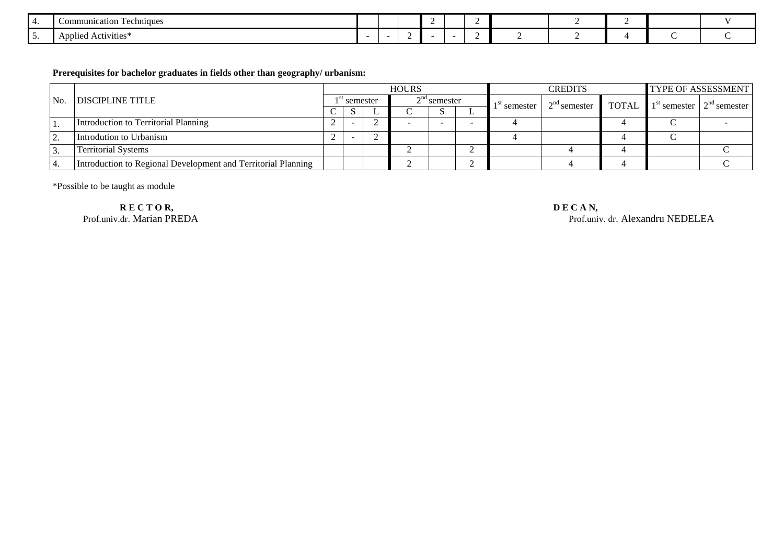|   | Communication Techniques       |  |  |  |  |  |  |
|---|--------------------------------|--|--|--|--|--|--|
| . | $\cdot$<br>Applied Activities* |  |  |  |  |  |  |

#### **Prerequisites for bachelor graduates in fields other than geography/ urbanism:**

| No. | <b>DISCIPLINE TITLE</b>                                       |          |                          |  | <b>HOURS</b> |                |                | <b>CREDITS</b>                                     | TYPE OF ASSESSMENT |  |  |
|-----|---------------------------------------------------------------|----------|--------------------------|--|--------------|----------------|----------------|----------------------------------------------------|--------------------|--|--|
|     |                                                               | semester |                          |  |              | $2nd$ semester | $1st$ semester | $2nd$ semester TOTAL $1st$ semester $2nd$ semester |                    |  |  |
|     |                                                               | $\sim$   | - 2                      |  |              | - 17           |                |                                                    |                    |  |  |
|     | Introduction to Territorial Planning                          |          | $\overline{\phantom{a}}$ |  |              |                |                |                                                    |                    |  |  |
| ، ت | Introdution to Urbanism                                       |          | $\overline{\phantom{a}}$ |  |              |                |                |                                                    |                    |  |  |
| J.  | <b>Territorial Systems</b>                                    |          |                          |  |              |                |                |                                                    |                    |  |  |
|     | Introduction to Regional Development and Territorial Planning |          |                          |  |              |                |                |                                                    |                    |  |  |

\*Possible to be taught as module

**R E C T O R, D E C A N, Prof.univ.dr. Marian PREDA** 

Prof.univ. dr. Alexandru NEDELEA